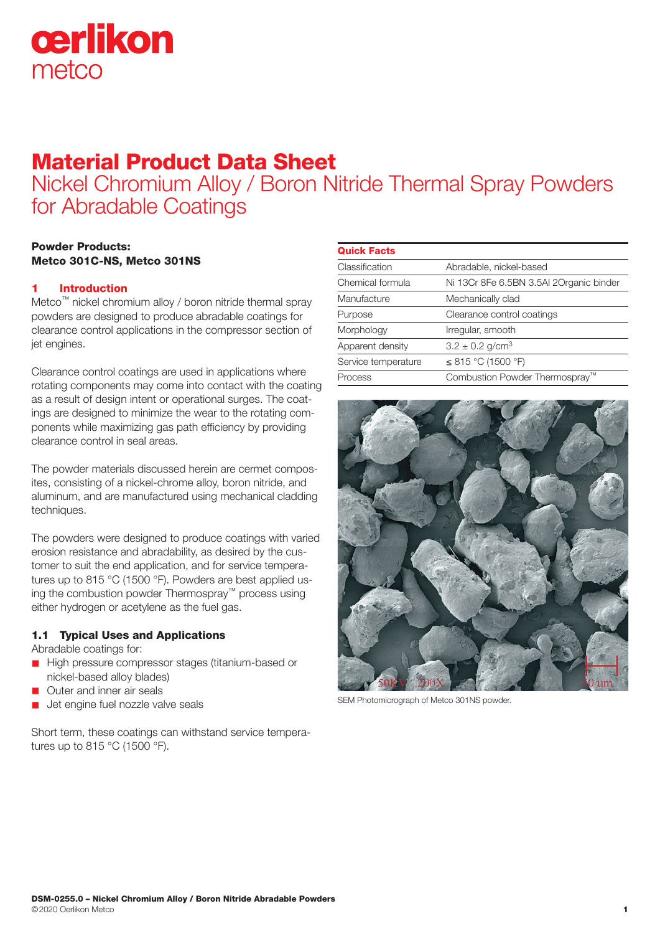

# Material Product Data Sheet

Nickel Chromium Alloy / Boron Nitride Thermal Spray Powders for Abradable Coatings

# Powder Products: Metco 301C-NS, Metco 301NS

# 1 Introduction

Metco™ nickel chromium alloy / boron nitride thermal spray powders are designed to produce abradable coatings for clearance control applications in the compressor section of jet engines.

Clearance control coatings are used in applications where rotating components may come into contact with the coating as a result of design intent or operational surges. The coatings are designed to minimize the wear to the rotating components while maximizing gas path efficiency by providing clearance control in seal areas.

The powder materials discussed herein are cermet composites, consisting of a nickel-chrome alloy, boron nitride, and aluminum, and are manufactured using mechanical cladding techniques.

The powders were designed to produce coatings with varied erosion resistance and abradability, as desired by the customer to suit the end application, and for service temperatures up to 815 °C (1500 °F). Powders are best applied using the combustion powder Thermospray™ process using either hydrogen or acetylene as the fuel gas.

# 1.1 Typical Uses and Applications

Abradable coatings for:

- High pressure compressor stages (titanium-based or nickel-based alloy blades)
- **n** Outer and inner air seals
- Jet engine fuel nozzle valve seals

Short term, these coatings can withstand service temperatures up to 815 °C (1500 °F).

| <b>Quick Facts</b>  |                                            |
|---------------------|--------------------------------------------|
| Classification      | Abradable, nickel-based                    |
| Chemical formula    | Ni 13Cr 8Fe 6.5BN 3.5AI 2Organic binder    |
| Manufacture         | Mechanically clad                          |
| Purpose             | Clearance control coatings                 |
| Morphology          | Irregular, smooth                          |
| Apparent density    | $3.2 \pm 0.2$ g/cm <sup>3</sup>            |
| Service temperature | ≤ 815 °C (1500 °F)                         |
| Process             | Combustion Powder Thermospray <sup>™</sup> |
|                     |                                            |



SEM Photomicrograph of Metco 301NS powder.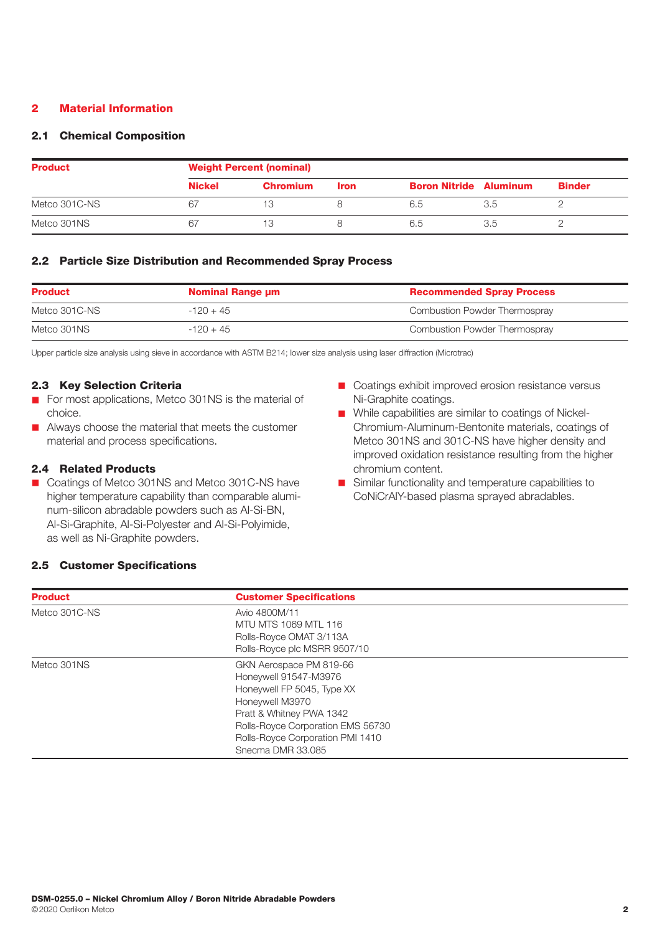# 2 Material Information

# 2.1 Chemical Composition

| <b>Product</b> | <b>Weight Percent (nominal)</b> |                 |             |                               |     |               |  |
|----------------|---------------------------------|-----------------|-------------|-------------------------------|-----|---------------|--|
|                | <b>Nickel</b>                   | <b>Chromium</b> | <b>Iron</b> | <b>Boron Nitride Aluminum</b> |     | <b>Binder</b> |  |
| Metco 301C-NS  | 67                              | 13              |             | 6.5                           | 3.5 |               |  |
| Metco 301NS    | 67                              | 13              |             | 6.5                           | 3.5 |               |  |

### 2.2 Particle Size Distribution and Recommended Spray Process

| <b>Product</b><br><b>Nominal Range um</b> |             | <b>Recommended Spray Process</b> |
|-------------------------------------------|-------------|----------------------------------|
| Metco 301C-NS                             | $-120 + 45$ | Combustion Powder Thermospray    |
| Metco 301NS                               | $-120 + 45$ | Combustion Powder Thermospray    |

Upper particle size analysis using sieve in accordance with ASTM B214; lower size analysis using laser diffraction (Microtrac)

#### 2.3 Key Selection Criteria

- For most applications, Metco 301NS is the material of choice.
- **n** Always choose the material that meets the customer material and process specifications.

# 2.4 Related Products

- Coatings of Metco 301NS and Metco 301C-NS have higher temperature capability than comparable aluminum-silicon abradable powders such as Al-Si-BN, Al-Si-Graphite, Al-Si-Polyester and Al-Si-Polyimide, as well as Ni-Graphite powders.
- Coatings exhibit improved erosion resistance versus Ni-Graphite coatings.
- While capabilities are similar to coatings of Nickel-Chromium-Aluminum-Bentonite materials, coatings of Metco 301NS and 301C-NS have higher density and improved oxidation resistance resulting from the higher chromium content.
- Similar functionality and temperature capabilities to CoNiCrAlY-based plasma sprayed abradables.

# 2.5 Customer Specifications

| <b>Product</b> | <b>Customer Specifications</b>    |  |  |
|----------------|-----------------------------------|--|--|
| Metco 301C-NS  | Avio 4800M/11                     |  |  |
|                | MTU MTS 1069 MTL 116              |  |  |
|                | Rolls-Royce OMAT 3/113A           |  |  |
|                | Rolls-Royce plc MSRR 9507/10      |  |  |
| Metco 301NS    | GKN Aerospace PM 819-66           |  |  |
|                | Honeywell 91547-M3976             |  |  |
|                | Honeywell FP 5045, Type XX        |  |  |
|                | Honeywell M3970                   |  |  |
|                | Pratt & Whitney PWA 1342          |  |  |
|                | Rolls-Royce Corporation EMS 56730 |  |  |
|                | Rolls-Royce Corporation PMI 1410  |  |  |
|                | Snecma DMR 33,085                 |  |  |